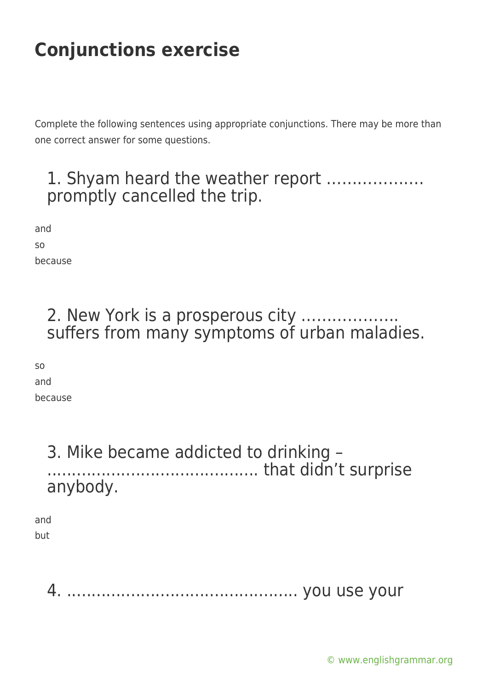Complete the following sentences using appropriate conjunctions. There may be more than one correct answer for some questions.

### 1. Shyam heard the weather report ………………. promptly cancelled the trip.

and so because

#### 2. New York is a prosperous city ………………. suffers from many symptoms of urban maladies.

so and because

#### 3. Mike became addicted to drinking – ........................................... that didn't surprise anybody.

and but

4. ............................................... you use your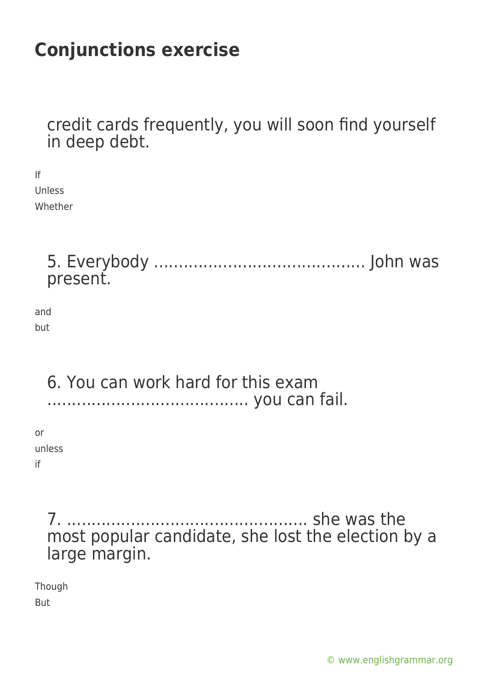credit cards frequently, you will soon find yourself in deep debt.

If Unless Whether

> 5. Everybody ........................................... John was present.

and but

#### 6. You can work hard for this exam ......................................... you can fail.

or unless if

> 7. ................................................. she was the most popular candidate, she lost the election by a large margin.

Though

But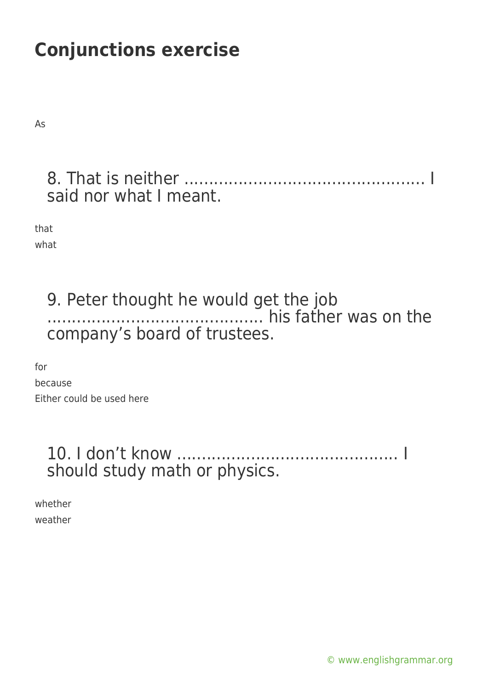As

### 8. That is neither ................................................. I said nor what I meant.

that what

# 9. Peter thought he would get the job ............................................ his father was on the company's board of trustees.

for because Either could be used here

### 10. I don't know ............................................. I should study math or physics.

whether weather